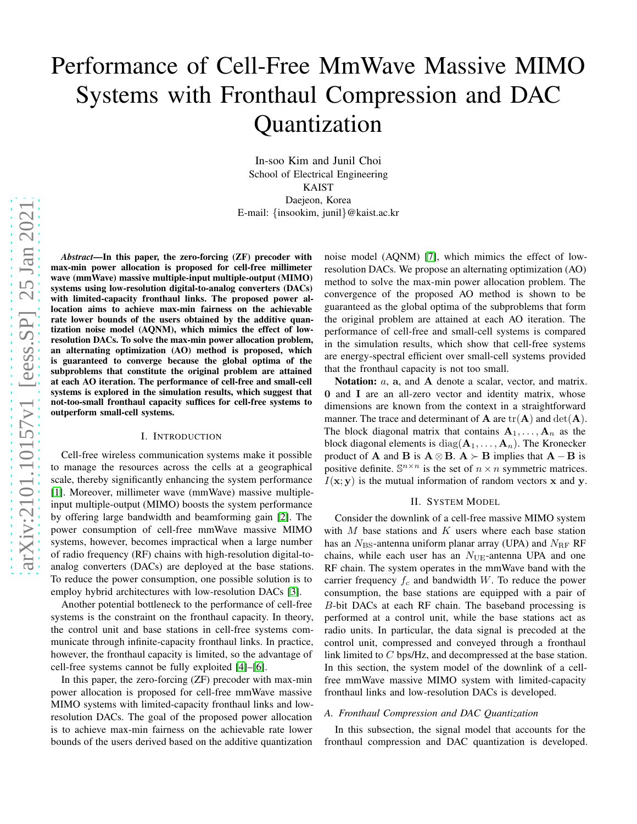# Performance of Cell-Free MmWave Massive MIMO Systems with Fronthaul Compression and DAC Quantization

In-soo Kim and Junil Choi School of Electrical Engineering KAIST Daejeon, Korea E-mail: {insookim, junil}@kaist.ac.kr

*Abstract*—In this paper, the zero-forcing (ZF) precoder with max-min power allocation is proposed for cell-free millimeter wave (mmWave) massive multiple-input multiple-output (MIMO) systems using low-resolution digital-to-analog converters (DACs) with limited-capacity fronthaul links. The proposed power allocation aims to achieve max-min fairness on the achievable rate lower bounds of the users obtained by the additive quantization noise model (AQNM), which mimics the effect of lowresolution DACs. To solve the max-min power allocation problem, an alternating optimization (AO) method is proposed, which is guaranteed to converge because the global optima of the subproblems that constitute the original problem are attained at each AO iteration. The performance of cell-free and small-cell systems is explored in the simulation results, which suggest that not-too-small fronthaul capacity suffices for cell-free systems to outperform small-cell systems.

#### I. INTRODUCTION

Cell-free wireless communication systems make it possible to manage the resources across the cells at a geographical scale, thereby significantly enhancing the system performance [\[1\]](#page-5-0). Moreover, millimeter wave (mmWave) massive multipleinput multiple-output (MIMO) boosts the system performance by offering large bandwidth and beamforming gain [\[2\]](#page-5-1). The power consumption of cell-free mmWave massive MIMO systems, however, becomes impractical when a large number of radio frequency (RF) chains with high-resolution digital-toanalog converters (DACs) are deployed at the base stations. To reduce the power consumption, one possible solution is to employ hybrid architectures with low-resolution DACs [\[3\]](#page-5-2).

Another potential bottleneck to the performance of cell-free systems is the constraint on the fronthaul capacity. In theory, the control unit and base stations in cell-free systems communicate through infinite-capacity fronthaul links. In practice, however, the fronthaul capacity is limited, so the advantage of cell-free systems cannot be fully exploited [\[4\]](#page-5-3)–[\[6\]](#page-5-4).

In this paper, the zero-forcing (ZF) precoder with max-min power allocation is proposed for cell-free mmWave massive MIMO systems with limited-capacity fronthaul links and lowresolution DACs. The goal of the proposed power allocation is to achieve max-min fairness on the achievable rate lower bounds of the users derived based on the additive quantization

noise model (AQNM) [\[7\]](#page-5-5), which mimics the effect of lowresolution DACs. We propose an alternating optimization (AO) method to solve the max-min power allocation problem. The convergence of the proposed AO method is shown to be guaranteed as the global optima of the subproblems that form the original problem are attained at each AO iteration. The performance of cell-free and small-cell systems is compared in the simulation results, which show that cell-free systems are energy-spectral efficient over small-cell systems provided that the fronthaul capacity is not too small.

Notation: *a*, a, and A denote a scalar, vector, and matrix. 0 and I are an all-zero vector and identity matrix, whose dimensions are known from the context in a straightforward manner. The trace and determinant of  $A$  are  $tr(A)$  and  $det(A)$ . The block diagonal matrix that contains  $A_1, \ldots, A_n$  as the block diagonal elements is diag( $A_1, \ldots, A_n$ ). The Kronecker product of **A** and **B** is  $A \otimes B$ .  $A \succ B$  implies that  $A - B$  is positive definite.  $\mathbb{S}^{n \times n}$  is the set of  $n \times n$  symmetric matrices.  $I(x; y)$  is the mutual information of random vectors x and y.

#### II. SYSTEM MODEL

Consider the downlink of a cell-free massive MIMO system with  $M$  base stations and  $K$  users where each base station has an  $N_{\rm BS}$ -antenna uniform planar array (UPA) and  $N_{\rm RF}$  RF chains, while each user has an  $N_{\text{UE}}$ -antenna UPA and one RF chain. The system operates in the mmWave band with the carrier frequency  $f_c$  and bandwidth W. To reduce the power consumption, the base stations are equipped with a pair of B-bit DACs at each RF chain. The baseband processing is performed at a control unit, while the base stations act as radio units. In particular, the data signal is precoded at the control unit, compressed and conveyed through a fronthaul link limited to C bps/Hz, and decompressed at the base station. In this section, the system model of the downlink of a cellfree mmWave massive MIMO system with limited-capacity fronthaul links and low-resolution DACs is developed.

## *A. Fronthaul Compression and DAC Quantization*

In this subsection, the signal model that accounts for the fronthaul compression and DAC quantization is developed.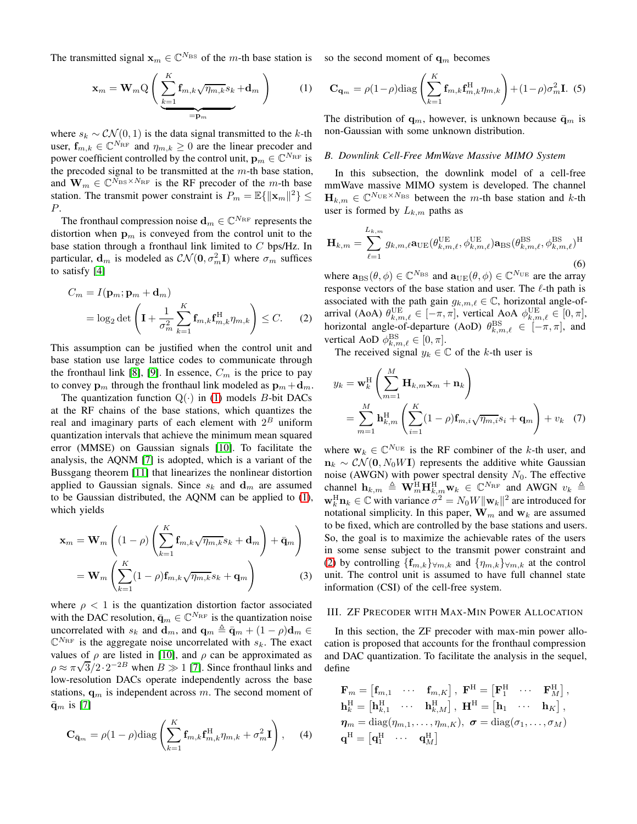The transmitted signal  $x_m \in \mathbb{C}^{N_{\text{BS}}}$  of the m-th base station is so the second moment of  $\mathbf{q}_m$  becomes

<span id="page-1-0"></span>
$$
\mathbf{x}_{m} = \mathbf{W}_{m} Q \left( \underbrace{\sum_{k=1}^{K} \mathbf{f}_{m,k} \sqrt{\eta_{m,k}} s_{k}}_{= \mathbf{p}_{m}} + \mathbf{d}_{m} \right) \qquad (1)
$$

where  $s_k \sim \mathcal{CN}(0, 1)$  is the data signal transmitted to the k-th user,  $\mathbf{f}_{m,k} \in \mathbb{C}^{N_{\text{RF}}}$  and  $\eta_{m,k} \geq 0$  are the linear precoder and power coefficient controlled by the control unit,  $\mathbf{p}_m \in \mathbb{C}^{N_{\text{RF}}}$  is the precoded signal to be transmitted at the  $m$ -th base station, and  $\mathbf{W}_m \in \mathbb{C}^{\bar{N}_{BS} \times N_{RF}}$  is the RF precoder of the m-th base station. The transmit power constraint is  $P_m = \mathbb{E}\{\|\mathbf{x}_m\|^2\} \le$ P.

The fronthaul compression noise  $\mathbf{d}_m \in \mathbb{C}^{N_\mathrm{RF}}$  represents the distortion when  $\mathbf{p}_m$  is conveyed from the control unit to the base station through a fronthaul link limited to  $C$  bps/Hz. In particular,  $\mathbf{d}_m$  is modeled as  $\mathcal{CN}(\mathbf{0}, \sigma_m^2 \mathbf{I})$  where  $\sigma_m$  suffices to satisfy [\[4\]](#page-5-3)

$$
C_m = I(\mathbf{p}_m; \mathbf{p}_m + \mathbf{d}_m)
$$
  
=  $\log_2 \det \left( \mathbf{I} + \frac{1}{\sigma_m^2} \sum_{k=1}^K \mathbf{f}_{m,k} \mathbf{f}_{m,k}^H \eta_{m,k} \right) \leq C.$  (2)

This assumption can be justified when the control unit and base station use large lattice codes to communicate through the fronthaul link [\[8\]](#page-5-6), [\[9\]](#page-5-7). In essence,  $C_m$  is the price to pay to convey  $\mathbf{p}_m$  through the fronthaul link modeled as  $\mathbf{p}_m + \mathbf{d}_m$ .

The quantization function  $Q(\cdot)$  in [\(1\)](#page-1-0) models *B*-bit DACs at the RF chains of the base stations, which quantizes the real and imaginary parts of each element with  $2^B$  uniform quantization intervals that achieve the minimum mean squared error (MMSE) on Gaussian signals [\[10\]](#page-5-8). To facilitate the analysis, the AQNM [\[7\]](#page-5-5) is adopted, which is a variant of the Bussgang theorem [\[11\]](#page-5-9) that linearizes the nonlinear distortion applied to Gaussian signals. Since  $s_k$  and  $\mathbf{d}_m$  are assumed to be Gaussian distributed, the AQNM can be applied to [\(1\)](#page-1-0), which yields

$$
\mathbf{x}_{m} = \mathbf{W}_{m} \left( (1 - \rho) \left( \sum_{k=1}^{K} \mathbf{f}_{m,k} \sqrt{\eta_{m,k}} s_{k} + \mathbf{d}_{m} \right) + \bar{\mathbf{q}}_{m} \right)
$$

$$
= \mathbf{W}_{m} \left( \sum_{k=1}^{K} (1 - \rho) \mathbf{f}_{m,k} \sqrt{\eta_{m,k}} s_{k} + \mathbf{q}_{m} \right)
$$
(3)

where  $\rho < 1$  is the quantization distortion factor associated with the DAC resolution,  $\bar{\mathbf{q}}_m \in \mathbb{C}^{N_{\text{RF}}}$  is the quantization noise uncorrelated with  $s_k$  and  $\mathbf{d}_m$ , and  $\mathbf{q}_m \triangleq \bar{\mathbf{q}}_m + (1 - \rho)\mathbf{d}_m \in$  $\mathbb{C}^{N_{\text{RF}}}$  is the aggregate noise uncorrelated with  $s_k$ . The exact values of  $\rho$  are listed in [\[10\]](#page-5-8), and  $\rho$  can be approximated as  $\rho \approx \pi \sqrt{3}/2 \cdot 2^{-2B}$  when  $B \gg 1$  [\[7\]](#page-5-5). Since fronthaul links and low-resolution DACs operate independently across the base stations,  $\mathbf{q}_m$  is independent across m. The second moment of  $\bar{\mathbf{q}}_m$  is [\[7\]](#page-5-5)

$$
\mathbf{C}_{\bar{\mathbf{q}}_m} = \rho (1 - \rho) \text{diag}\left(\sum_{k=1}^K \mathbf{f}_{m,k} \mathbf{f}_{m,k}^H \eta_{m,k} + \sigma_m^2 \mathbf{I}\right), \quad (4)
$$

<span id="page-1-3"></span>
$$
\mathbf{C}_{\mathbf{q}_m} = \rho (1 - \rho) \text{diag}\left(\sum_{k=1}^K \mathbf{f}_{m,k} \mathbf{f}_{m,k}^H \eta_{m,k}\right) + (1 - \rho) \sigma_m^2 \mathbf{I}.
$$
 (5)

The distribution of  $\mathbf{q}_m$ , however, is unknown because  $\bar{\mathbf{q}}_m$  is non-Gaussian with some unknown distribution.

#### *B. Downlink Cell-Free MmWave Massive MIMO System*

In this subsection, the downlink model of a cell-free mmWave massive MIMO system is developed. The channel  $\mathbf{H}_{k,m} \in \mathbb{C}^{N_{\text{UE}} \times N_{\text{BS}}}$  between the *m*-th base station and *k*-th user is formed by  $L_{k,m}$  paths as

$$
\mathbf{H}_{k,m} = \sum_{\ell=1}^{L_{k,m}} g_{k,m,\ell} \mathbf{a}_{\text{UE}}(\theta_{k,m,\ell}^{\text{UE}}, \phi_{k,m,\ell}^{\text{UE}}) \mathbf{a}_{\text{BS}}(\theta_{k,m,\ell}^{\text{BS}}, \phi_{k,m,\ell}^{\text{BS}})^{\text{H}}
$$
(6)

<span id="page-1-1"></span>where  $\mathbf{a}_{\text{BS}}(\theta, \phi) \in \mathbb{C}^{N_{\text{BS}}}$  and  $\mathbf{a}_{\text{UE}}(\theta, \phi) \in \mathbb{C}^{N_{\text{UE}}}$  are the array response vectors of the base station and user. The  $\ell$ -th path is associated with the path gain  $g_{k,m,\ell} \in \mathbb{C}$ , horizontal angle-ofarrival (AoA)  $\theta_{k,m,\ell}^{\text{UE}} \in [-\pi,\pi]$ , vertical AoA  $\phi_{k,m,\ell}^{\text{UE}} \in [0,\pi]$ , horizontal angle-of-departure (AoD)  $\theta_{k,m,\ell}^{\text{BS}} \in [-\pi,\pi]$ , and vertical AoD  $\phi_{k,m,\ell}^{\text{BS}} \in [0, \pi]$ .

The received signal  $y_k \in \mathbb{C}$  of the k-th user is

<span id="page-1-2"></span>
$$
y_k = \mathbf{w}_k^{\mathrm{H}} \left( \sum_{m=1}^M \mathbf{H}_{k,m} \mathbf{x}_m + \mathbf{n}_k \right)
$$
  
= 
$$
\sum_{m=1}^M \mathbf{h}_{k,m}^{\mathrm{H}} \left( \sum_{i=1}^K (1 - \rho) \mathbf{f}_{m,i} \sqrt{\eta_{m,i}} s_i + \mathbf{q}_m \right) + v_k \quad (7)
$$

where  $\mathbf{w}_k \in \mathbb{C}^{N_{\text{UE}}}$  is the RF combiner of the k-th user, and  $n_k \sim \mathcal{CN}(0, N_0 W I)$  represents the additive white Gaussian noise (AWGN) with power spectral density  $N_0$ . The effective channel  $\mathbf{h}_{k,m} \triangleq \mathbf{W}_{m}^{\text{H}} \mathbf{H}_{k,m}^{\text{H}} \mathbf{w}_{k} \in \mathbb{C}^{N_{\text{RF}}}$  and AWGN  $v_{k} \triangleq$  $\mathbf{w}_k^{\text{H}} \mathbf{n}_k \in \mathbb{C}$  with variance  $\sigma^2 = N_0 W ||\mathbf{w}_k||^2$  are introduced for notational simplicity. In this paper,  $\mathbf{W}_m$  and  $\mathbf{w}_k$  are assumed to be fixed, which are controlled by the base stations and users. So, the goal is to maximize the achievable rates of the users in some sense subject to the transmit power constraint and [\(2\)](#page-1-1) by controlling  $\{f_{m,k}\}_{\forall m,k}$  and  $\{\eta_{m,k}\}_{\forall m,k}$  at the control unit. The control unit is assumed to have full channel state information (CSI) of the cell-free system.

#### <span id="page-1-4"></span>III. ZF PRECODER WITH MAX-MIN POWER ALLOCATION

In this section, the ZF precoder with max-min power allocation is proposed that accounts for the fronthaul compression and DAC quantization. To facilitate the analysis in the sequel, define

$$
\mathbf{F}_m = \begin{bmatrix} \mathbf{f}_{m,1} & \cdots & \mathbf{f}_{m,K} \end{bmatrix}, \ \mathbf{F}^{\mathrm{H}} = \begin{bmatrix} \mathbf{F}_1^{\mathrm{H}} & \cdots & \mathbf{F}_M^{\mathrm{H}} \end{bmatrix}, \\ \mathbf{h}_k^{\mathrm{H}} = \begin{bmatrix} \mathbf{h}_{k,1}^{\mathrm{H}} & \cdots & \mathbf{h}_{k,M}^{\mathrm{H}} \end{bmatrix}, \ \mathbf{H}^{\mathrm{H}} = \begin{bmatrix} \mathbf{h}_1 & \cdots & \mathbf{h}_K \end{bmatrix}, \\ \boldsymbol{\eta}_m = \mathrm{diag}(\eta_{m,1}, \ldots, \eta_{m,K}), \ \boldsymbol{\sigma} = \mathrm{diag}(\sigma_1, \ldots, \sigma_M)
$$

$$
\mathbf{q}^{\mathrm{H}} = \begin{bmatrix} \mathbf{q}_1^{\mathrm{H}} & \cdots & \mathbf{q}_M^{\mathrm{H}} \end{bmatrix}
$$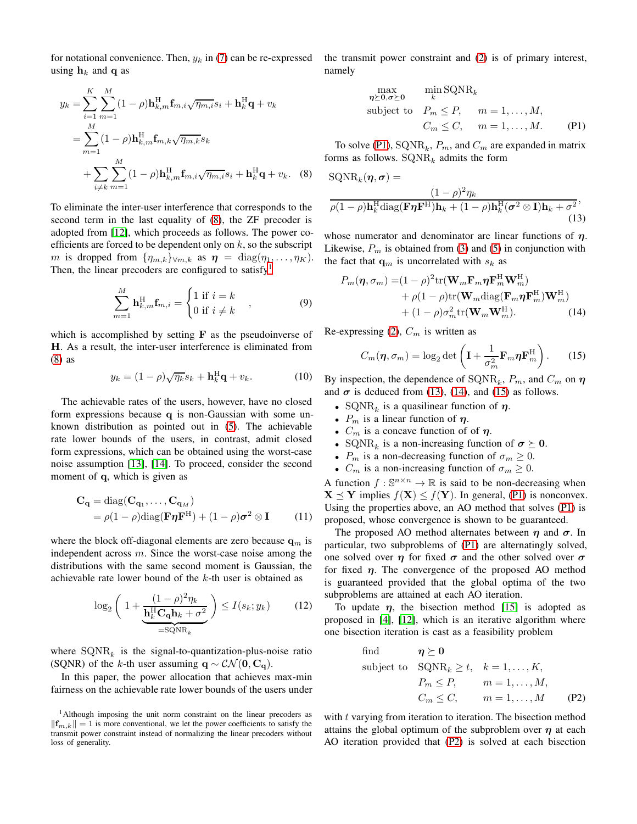for notational convenience. Then,  $y_k$  in [\(7\)](#page-1-2) can be re-expressed using  $h_k$  and q as

$$
y_k = \sum_{i=1}^{K} \sum_{m=1}^{M} (1 - \rho) \mathbf{h}_{k,m}^{\mathrm{H}} \mathbf{f}_{m,i} \sqrt{\eta_{m,i}} s_i + \mathbf{h}_k^{\mathrm{H}} \mathbf{q} + v_k
$$
  
= 
$$
\sum_{m=1}^{M} (1 - \rho) \mathbf{h}_{k,m}^{\mathrm{H}} \mathbf{f}_{m,k} \sqrt{\eta_{m,k}} s_k
$$
  
+ 
$$
\sum_{i \neq k} \sum_{m=1}^{M} (1 - \rho) \mathbf{h}_{k,m}^{\mathrm{H}} \mathbf{f}_{m,i} \sqrt{\eta_{m,i}} s_i + \mathbf{h}_k^{\mathrm{H}} \mathbf{q} + v_k.
$$
 (8)

To eliminate the inter-user interference that corresponds to the second term in the last equality of [\(8\)](#page-2-0), the ZF precoder is adopted from [\[12\]](#page-5-10), which proceeds as follows. The power coefficients are forced to be dependent only on  $k$ , so the subscript m is dropped from  $\{\eta_{m,k}\}_{\forall m,k}$  as  $\eta = \text{diag}(\eta_1, \dots, \eta_K)$ . Then, the linear precoders are configured to satisfy<sup>[1](#page-2-1)</sup>

$$
\sum_{m=1}^{M} \mathbf{h}_{k,m}^{\mathrm{H}} \mathbf{f}_{m,i} = \begin{cases} 1 \text{ if } i = k \\ 0 \text{ if } i \neq k \end{cases} , \qquad (9)
$$

which is accomplished by setting  $\bf{F}$  as the pseudoinverse of H. As a result, the inter-user interference is eliminated from [\(8\)](#page-2-0) as

$$
y_k = (1 - \rho)\sqrt{\eta_k} s_k + \mathbf{h}_k^{\mathrm{H}} \mathbf{q} + v_k. \tag{10}
$$

The achievable rates of the users, however, have no closed form expressions because q is non-Gaussian with some unknown distribution as pointed out in [\(5\)](#page-1-3). The achievable rate lower bounds of the users, in contrast, admit closed form expressions, which can be obtained using the worst-case noise assumption [\[13\]](#page-5-11), [\[14\]](#page-5-12). To proceed, consider the second moment of q, which is given as

$$
\mathbf{C}_{\mathbf{q}} = \text{diag}(\mathbf{C}_{\mathbf{q}_1}, \dots, \mathbf{C}_{\mathbf{q}_M})
$$
  
=  $\rho(1 - \rho)\text{diag}(\mathbf{F}\boldsymbol{\eta}\mathbf{F}^{\mathrm{H}}) + (1 - \rho)\boldsymbol{\sigma}^2 \otimes \mathbf{I}$  (11)

where the block off-diagonal elements are zero because  $q_m$  is independent across  $m$ . Since the worst-case noise among the distributions with the same second moment is Gaussian, the achievable rate lower bound of the k-th user is obtained as

$$
\log_2\left(1+\frac{(1-\rho)^2\eta_k}{\underbrace{\mathbf{h}_k^{\mathrm{H}}\mathbf{C}_{\mathbf{q}}\mathbf{h}_k+\sigma^2}_{=\mathrm{SQNR}_k}}\right)\leq I(s_k;y_k)\qquad(12)
$$

where  $\text{SQNR}_k$  is the signal-to-quantization-plus-noise ratio (SQNR) of the k-th user assuming  $\mathbf{q} \sim \mathcal{CN}(\mathbf{0}, \mathbf{C}_{\mathbf{q}})$ .

In this paper, the power allocation that achieves max-min fairness on the achievable rate lower bounds of the users under the transmit power constraint and [\(2\)](#page-1-1) is of primary interest, namely

<span id="page-2-3"></span><span id="page-2-2"></span>
$$
\begin{array}{ll}\n\max_{\eta \succeq 0, \sigma \succeq 0} & \min_{k} \text{SQNR}_{k} \\
\text{subject to} & P_m \le P, \quad m = 1, \dots, M, \\
& C_m \le C, \quad m = 1, \dots, M. \quad \text{(P1)}\n\end{array}
$$

To solve [\(P1\)](#page-2-2),  $\text{SQNR}_k$ ,  $P_m$ , and  $C_m$  are expanded in matrix forms as follows.  $\text{SQNR}_k$  admits the form

<span id="page-2-0"></span>
$$
SQNRk(\boldsymbol{\eta}, \boldsymbol{\sigma}) =
$$
  
\n
$$
\frac{(1 - \rho)^2 \eta_k}{\rho (1 - \rho) \mathbf{h}_k^{\mathrm{H}} \mathrm{diag}(\mathbf{F} \boldsymbol{\eta} \mathbf{F}^{\mathrm{H}}) \mathbf{h}_k + (1 - \rho) \mathbf{h}_k^{\mathrm{H}} (\boldsymbol{\sigma}^2 \otimes \mathbf{I}) \mathbf{h}_k + \sigma^2},
$$
\n(13)

whose numerator and denominator are linear functions of  $\eta$ . Likewise,  $P_m$  is obtained from [\(3\)](#page-1-4) and [\(5\)](#page-1-3) in conjunction with the fact that  $\mathbf{q}_m$  is uncorrelated with  $s_k$  as

$$
P_m(\boldsymbol{\eta}, \sigma_m) = (1 - \rho)^2 \text{tr}(\mathbf{W}_m \mathbf{F}_m \boldsymbol{\eta} \mathbf{F}_m^{\text{H}} \mathbf{W}_m^{\text{H}}) + \rho (1 - \rho) \text{tr}(\mathbf{W}_m \text{diag}(\mathbf{F}_m \boldsymbol{\eta} \mathbf{F}_m^{\text{H}}) \mathbf{W}_m^{\text{H}}) + (1 - \rho) \sigma_m^2 \text{tr}(\mathbf{W}_m \mathbf{W}_m^{\text{H}}).
$$
(14)

Re-expressing [\(2\)](#page-1-1),  $C_m$  is written as

<span id="page-2-5"></span><span id="page-2-4"></span>
$$
C_m(\boldsymbol{\eta}, \sigma_m) = \log_2 \det \left( \mathbf{I} + \frac{1}{\sigma_m^2} \mathbf{F}_m \boldsymbol{\eta} \mathbf{F}_m^{\mathrm{H}} \right). \tag{15}
$$

By inspection, the dependence of  $\text{SQNR}_k$ ,  $P_m$ , and  $C_m$  on  $\eta$ and  $\sigma$  is deduced from [\(13\)](#page-2-3), [\(14\)](#page-2-4), and [\(15\)](#page-2-5) as follows.

- SQNR<sub>k</sub> is a quasilinear function of  $\eta$ .
- $P_m$  is a linear function of  $\eta$ .
- $C_m$  is a concave function of of  $\eta$ .
- SQNR<sub>k</sub> is a non-increasing function of  $\sigma \succeq 0$ .
- $P_m$  is a non-decreasing function of  $\sigma_m \geq 0$ .
- $C_m$  is a non-increasing function of  $\sigma_m \geq 0$ .

A function  $f : \mathbb{S}^{n \times n} \to \mathbb{R}$  is said to be non-decreasing when  $X \preceq Y$  implies  $f(X) \leq f(Y)$ . In general, [\(P1\)](#page-2-2) is nonconvex. Using the properties above, an AO method that solves [\(P1\)](#page-2-2) is proposed, whose convergence is shown to be guaranteed.

The proposed AO method alternates between  $\eta$  and  $\sigma$ . In particular, two subproblems of [\(P1\)](#page-2-2) are alternatingly solved, one solved over  $\eta$  for fixed  $\sigma$  and the other solved over  $\sigma$ for fixed  $\eta$ . The convergence of the proposed AO method is guaranteed provided that the global optima of the two subproblems are attained at each AO iteration.

To update  $\eta$ , the bisection method [\[15\]](#page-5-13) is adopted as proposed in [\[4\]](#page-5-3), [\[12\]](#page-5-10), which is an iterative algorithm where one bisection iteration is cast as a feasibility problem

<span id="page-2-6"></span>find 
$$
\eta \ge 0
$$
  
\nsubject to  $\text{SQNR}_k \ge t$ ,  $k = 1, ..., K$ ,  
\n $P_m \le P$ ,  $m = 1, ..., M$ ,  
\n $C_m \le C$ ,  $m = 1, ..., M$  (P2)

with t varying from iteration to iteration. The bisection method attains the global optimum of the subproblem over  $\eta$  at each AO iteration provided that [\(P2\)](#page-2-6) is solved at each bisection

<span id="page-2-1"></span><sup>&</sup>lt;sup>1</sup>Although imposing the unit norm constraint on the linear precoders as  $||{\bf f}_{m,k}|| = 1$  is more conventional, we let the power coefficients to satisfy the transmit power constraint instead of normalizing the linear precoders without loss of generality.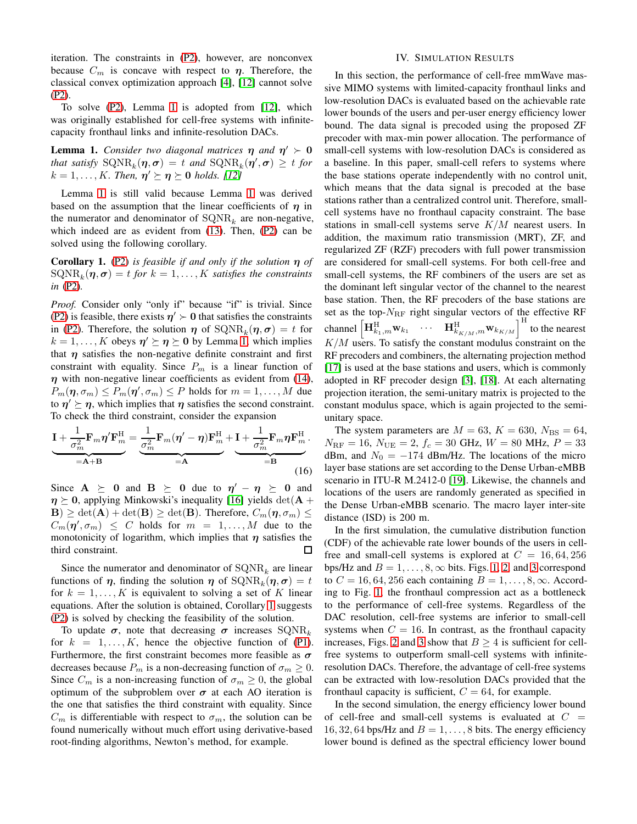iteration. The constraints in [\(P2\)](#page-2-6), however, are nonconvex because  $C_m$  is concave with respect to  $\eta$ . Therefore, the classical convex optimization approach [\[4\]](#page-5-3), [\[12\]](#page-5-10) cannot solve [\(P2\)](#page-2-6).

To solve [\(P2\)](#page-2-6), Lemma [1](#page-3-0) is adopted from [\[12\]](#page-5-10), which was originally established for cell-free systems with infinitecapacity fronthaul links and infinite-resolution DACs.

<span id="page-3-0"></span>**Lemma 1.** *Consider two diagonal matrices*  $\eta$  *and*  $\eta' \succ 0$ *that satisfy*  $\text{SQNR}_k(\eta, \sigma) = t$  *and*  $\text{SQNR}_k(\eta', \sigma) \geq t$  *for*  $k = 1, \ldots, K$ . Then,  $\eta' \succeq \eta \succeq 0$  holds. [\[12\]](#page-5-10)

Lemma [1](#page-3-0) is still valid because Lemma [1](#page-3-0) was derived based on the assumption that the linear coefficients of  $\eta$  in the numerator and denominator of  $\text{SQNR}_k$  are non-negative, which indeed are as evident from [\(13\)](#page-2-3). Then, [\(P2\)](#page-2-6) can be solved using the following corollary.

<span id="page-3-1"></span>Corollary 1. [\(P2\)](#page-2-6) *is feasible if and only if the solution* η *of*  $\mathrm{SQNR}_k(\boldsymbol{\eta}, \boldsymbol{\sigma}) = t \textit{ for } k = 1, \dots, K \textit{ satisfies the constraints}$ *in* [\(P2\)](#page-2-6)*.*

*Proof.* Consider only "only if" because "if" is trivial. Since [\(P2\)](#page-2-6) is feasible, there exists  $\eta' > 0$  that satisfies the constraints in [\(P2\)](#page-2-6). Therefore, the solution  $\eta$  of  $\text{SQNR}_k(\eta, \sigma) = t$  for  $k = 1, \dots, K$  $k = 1, \dots, K$  $k = 1, \dots, K$  obeys  $\eta' \succeq \eta \succeq 0$  by Lemma 1, which implies that  $\eta$  satisfies the non-negative definite constraint and first constraint with equality. Since  $P_m$  is a linear function of  $\eta$  with non-negative linear coefficients as evident from [\(14\)](#page-2-4),  $P_m(\eta, \sigma_m) \le P_m(\eta', \sigma_m) \le P$  holds for  $m = 1, ..., M$  due to  $\eta' \succeq \eta$ , which implies that  $\eta$  satisfies the second constraint. To check the third constraint, consider the expansion

$$
\underbrace{\mathbf{I} + \frac{1}{\sigma_m^2} \mathbf{F}_m \eta' \mathbf{F}_m^{\mathrm{H}}}_{=\mathbf{A} + \mathbf{B}} = \underbrace{\frac{1}{\sigma_m^2} \mathbf{F}_m (\eta' - \eta) \mathbf{F}_m^{\mathrm{H}}}_{=\mathbf{A}} + \underbrace{\mathbf{I} + \frac{1}{\sigma_m^2} \mathbf{F}_m \eta \mathbf{F}_m^{\mathrm{H}}}_{=\mathbf{B}}.
$$
 (16)

Since  $A \geq 0$  and  $B \geq 0$  due to  $\eta' - \eta \geq 0$  and  $\eta \succeq 0$ , applying Minkowski's inequality [\[16\]](#page-5-14) yields det(A +  $|\mathbf{B}| \geq \det(\mathbf{A}) + \det(\mathbf{B}) \geq \det(\mathbf{B})$ . Therefore,  $C_m(\eta, \sigma_m) \leq$  $C_m(\eta', \sigma_m) \leq C$  holds for  $m = 1, ..., M$  due to the monotonicity of logarithm, which implies that  $\eta$  satisfies the third constraint. 口

Since the numerator and denominator of  $\text{SQNR}_k$  are linear functions of  $\eta$ , finding the solution  $\eta$  of  $\text{SQNR}_k(\eta, \sigma) = t$ for  $k = 1, \ldots, K$  is equivalent to solving a set of K linear equations. After the solution is obtained, Corollary [1](#page-3-1) suggests [\(P2\)](#page-2-6) is solved by checking the feasibility of the solution.

To update  $\sigma$ , note that decreasing  $\sigma$  increases  $\text{SQNR}_k$ for  $k = 1, ..., K$ , hence the objective function of [\(P1\)](#page-2-2). Furthermore, the first constraint becomes more feasible as  $\sigma$ decreases because  $P_m$  is a non-decreasing function of  $\sigma_m \geq 0$ . Since  $C_m$  is a non-increasing function of  $\sigma_m \geq 0$ , the global optimum of the subproblem over  $\sigma$  at each AO iteration is the one that satisfies the third constraint with equality. Since  $C_m$  is differentiable with respect to  $\sigma_m$ , the solution can be found numerically without much effort using derivative-based root-finding algorithms, Newton's method, for example.

## IV. SIMULATION RESULTS

In this section, the performance of cell-free mmWave massive MIMO systems with limited-capacity fronthaul links and low-resolution DACs is evaluated based on the achievable rate lower bounds of the users and per-user energy efficiency lower bound. The data signal is precoded using the proposed ZF precoder with max-min power allocation. The performance of small-cell systems with low-resolution DACs is considered as a baseline. In this paper, small-cell refers to systems where the base stations operate independently with no control unit, which means that the data signal is precoded at the base stations rather than a centralized control unit. Therefore, smallcell systems have no fronthaul capacity constraint. The base stations in small-cell systems serve K/M nearest users. In addition, the maximum ratio transmission (MRT), ZF, and regularized ZF (RZF) precoders with full power transmission are considered for small-cell systems. For both cell-free and small-cell systems, the RF combiners of the users are set as the dominant left singular vector of the channel to the nearest base station. Then, the RF precoders of the base stations are set as the top- $N_{\text{RF}}$  right singular vectors of the effective RF channel  $\left[\mathbf{H}_{k_1,m}^{\text{H}}\mathbf{w}_{k_1}\cdots \mathbf{H}_{k_{K/M},m}^{\text{H}}\mathbf{w}_{k_{K/M}}\right]^{\text{H}}$  to the nearest  $K/M$  users. To satisfy the constant modulus constraint on the RF precoders and combiners, the alternating projection method [\[17\]](#page-5-15) is used at the base stations and users, which is commonly adopted in RF precoder design [\[3\]](#page-5-2), [\[18\]](#page-5-16). At each alternating projection iteration, the semi-unitary matrix is projected to the constant modulus space, which is again projected to the semiunitary space.

The system parameters are  $M = 63$ ,  $K = 630$ ,  $N_{\text{BS}} = 64$ ,  $N_{\text{RF}} = 16$ ,  $N_{\text{UE}} = 2$ ,  $f_c = 30$  GHz,  $W = 80$  MHz,  $P = 33$ dBm, and  $N_0 = -174$  dBm/Hz. The locations of the micro layer base stations are set according to the Dense Urban-eMBB scenario in ITU-R M.2412-0 [\[19\]](#page-5-17). Likewise, the channels and locations of the users are randomly generated as specified in the Dense Urban-eMBB scenario. The macro layer inter-site distance (ISD) is 200 m.

In the first simulation, the cumulative distribution function (CDF) of the achievable rate lower bounds of the users in cellfree and small-cell systems is explored at  $C = 16, 64, 256$ bps/Hz and  $B = 1, \ldots, 8, \infty$  $B = 1, \ldots, 8, \infty$  $B = 1, \ldots, 8, \infty$  bits. Figs. 1, [2,](#page-4-1) and [3](#page-4-2) correspond to  $C = 16, 64, 256$  each containing  $B = 1, \ldots, 8, \infty$ . According to Fig. [1,](#page-4-0) the fronthaul compression act as a bottleneck to the performance of cell-free systems. Regardless of the DAC resolution, cell-free systems are inferior to small-cell systems when  $C = 16$ . In contrast, as the fronthaul capacity increases, Figs. [2](#page-4-1) and [3](#page-4-2) show that  $B > 4$  is sufficient for cellfree systems to outperform small-cell systems with infiniteresolution DACs. Therefore, the advantage of cell-free systems can be extracted with low-resolution DACs provided that the fronthaul capacity is sufficient,  $C = 64$ , for example.

In the second simulation, the energy efficiency lower bound of cell-free and small-cell systems is evaluated at  $C =$ 16, 32, 64 bps/Hz and  $B = 1, \ldots, 8$  bits. The energy efficiency lower bound is defined as the spectral efficiency lower bound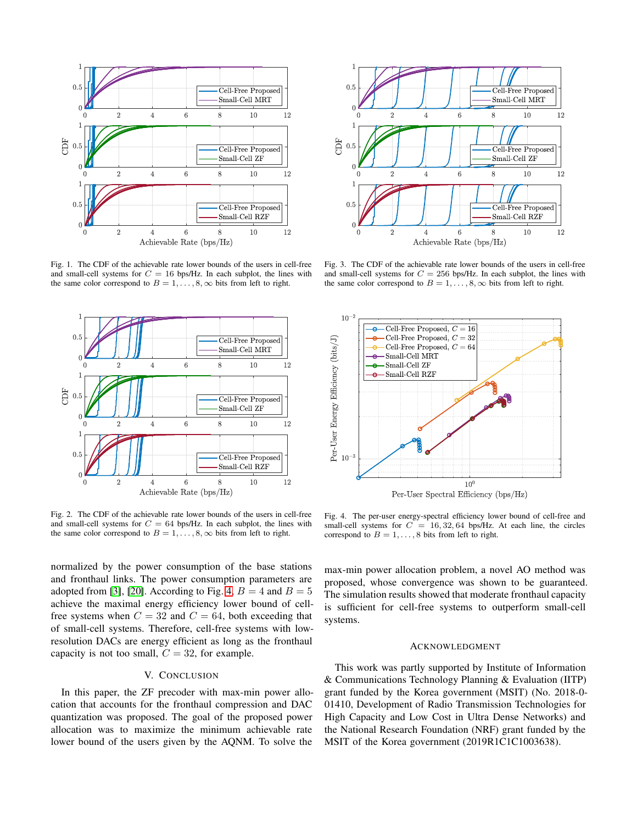

<span id="page-4-0"></span>Fig. 1. The CDF of the achievable rate lower bounds of the users in cell-free and small-cell systems for  $C = 16$  bps/Hz. In each subplot, the lines with the same color correspond to  $B = 1, \ldots, 8, \infty$  bits from left to right.



<span id="page-4-1"></span>Fig. 2. The CDF of the achievable rate lower bounds of the users in cell-free and small-cell systems for  $C = 64$  bps/Hz. In each subplot, the lines with the same color correspond to  $B = 1, \ldots, 8, \infty$  bits from left to right.

normalized by the power consumption of the base stations and fronthaul links. The power consumption parameters are adopted from [\[3\]](#page-5-2), [\[20\]](#page-5-18). According to Fig. [4,](#page-4-3)  $B = 4$  and  $B = 5$ achieve the maximal energy efficiency lower bound of cellfree systems when  $C = 32$  and  $C = 64$ , both exceeding that of small-cell systems. Therefore, cell-free systems with lowresolution DACs are energy efficient as long as the fronthaul capacity is not too small,  $C = 32$ , for example.

## V. CONCLUSION

In this paper, the ZF precoder with max-min power allocation that accounts for the fronthaul compression and DAC quantization was proposed. The goal of the proposed power allocation was to maximize the minimum achievable rate lower bound of the users given by the AQNM. To solve the



<span id="page-4-2"></span>Fig. 3. The CDF of the achievable rate lower bounds of the users in cell-free and small-cell systems for  $C = 256$  bps/Hz. In each subplot, the lines with the same color correspond to  $B = 1, \ldots, 8, \infty$  bits from left to right.



<span id="page-4-3"></span>Fig. 4. The per-user energy-spectral efficiency lower bound of cell-free and small-cell systems for  $C = 16, 32, 64$  bps/Hz. At each line, the circles correspond to  $B = 1, \ldots, 8$  bits from left to right.

max-min power allocation problem, a novel AO method was proposed, whose convergence was shown to be guaranteed. The simulation results showed that moderate fronthaul capacity is sufficient for cell-free systems to outperform small-cell systems.

## ACKNOWLEDGMENT

This work was partly supported by Institute of Information & Communications Technology Planning & Evaluation (IITP) grant funded by the Korea government (MSIT) (No. 2018-0- 01410, Development of Radio Transmission Technologies for High Capacity and Low Cost in Ultra Dense Networks) and the National Research Foundation (NRF) grant funded by the MSIT of the Korea government (2019R1C1C1003638).